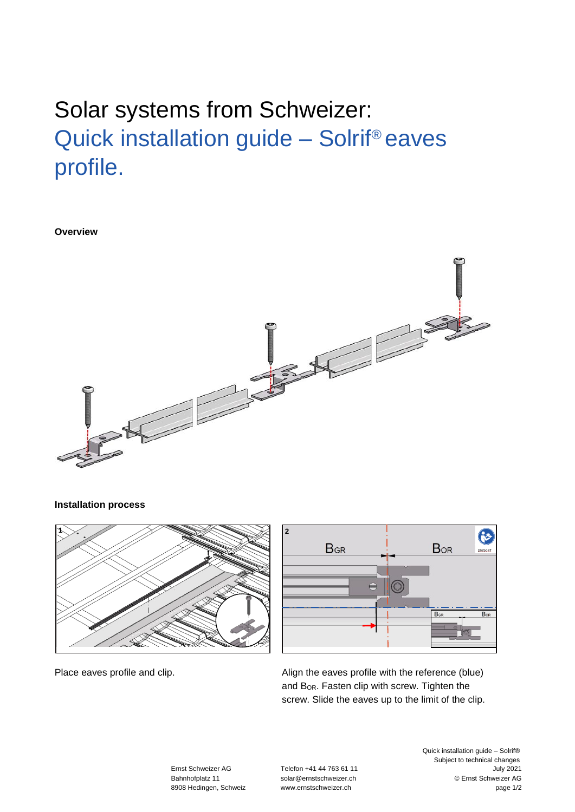## Solar systems from Schweizer: Quick installation guide – Solrif® eaves profile.

**Overview**



## **Installation process**





Place eaves profile and clip.

Align the eaves profile with the reference (blue) and B<sub>OR</sub>. Fasten clip with screw. Tighten the screw. Slide the eaves up to the limit of the clip.

Ernst Schweizer AG Telefon +41 44 763 61 11

Quick installation guide – Solrif® Subject to technical changes<br>July 2021 Bahnhofplatz 11 [solar@ernstschweizer.ch](mailto:solar@ernstschweizer.ch) © Ernst Schweizer AG 8908 Hedingen, Schweiz www.ernstschweizer.ch page 1/2